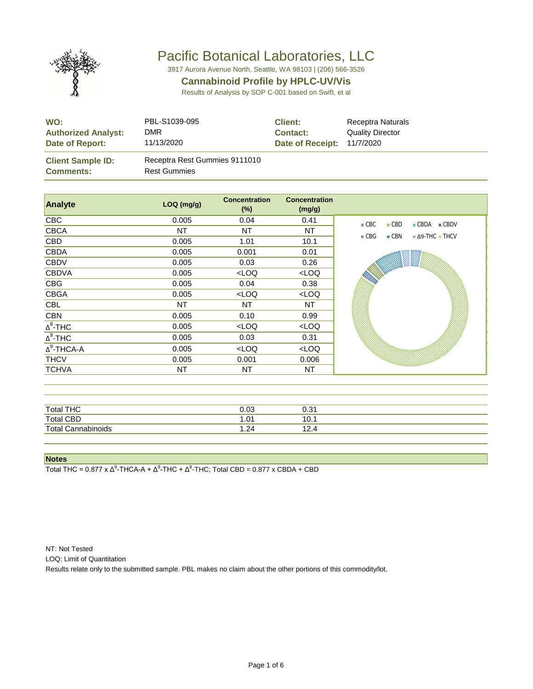

3917 Aurora Avenue North, Seattle, WA 98103 | (206) 566-3526

#### **Cannabinoid Profile by HPLC-UV/Vis**

Results of Analysis by SOP C-001 based on Swift, et al

| WO:                                          | PBL-S1039-095                                        | <b>Client:</b>   | Receptra Naturals       |
|----------------------------------------------|------------------------------------------------------|------------------|-------------------------|
| <b>Authorized Analyst:</b>                   | <b>DMR</b>                                           | <b>Contact:</b>  | <b>Quality Director</b> |
| Date of Report:                              | 11/13/2020                                           | Date of Receipt: | 11/7/2020               |
| <b>Client Sample ID:</b><br><b>Comments:</b> | Receptra Rest Gummies 9111010<br><b>Rest Gummies</b> |                  |                         |

| Analyte                    | LOQ (mg/g) | <b>Concentration</b><br>$(\%)$                            | <b>Concentration</b><br>(mg/g) |                                                                         |
|----------------------------|------------|-----------------------------------------------------------|--------------------------------|-------------------------------------------------------------------------|
| <b>CBC</b>                 | 0.005      | 0.04                                                      | 0.41                           | CBC<br>$\blacksquare$ CBD<br>$\blacksquare$ CBDA<br>$\blacksquare$ CBDV |
| <b>CBCA</b>                | NT         | NT                                                        | NT                             | $\blacksquare$ CBN<br>$\blacksquare$ $\Delta$ 9-THC $\blacksquare$ THCV |
| CBD                        | 0.005      | 1.01                                                      | 10.1                           | CBG                                                                     |
| <b>CBDA</b>                | 0.005      | 0.001                                                     | 0.01                           |                                                                         |
| <b>CBDV</b>                | 0.005      | 0.03                                                      | 0.26                           |                                                                         |
| <b>CBDVA</b>               | 0.005      | LOO                                                       | $<$ LOQ                        |                                                                         |
| <b>CBG</b>                 | 0.005      | 0.04                                                      | 0.38                           | <b>SOUTH</b>                                                            |
| <b>CBGA</b>                | 0.005      | <loq< td=""><td><math>&lt;</math>LOQ</td><td></td></loq<> | $<$ LOQ                        |                                                                         |
| CBL                        | NT         | NT                                                        | NT                             |                                                                         |
| <b>CBN</b>                 | 0.005      | 0.10                                                      | 0.99                           |                                                                         |
| $\Delta^8$ -THC            | 0.005      | <loq< td=""><td>LOO</td><td></td></loq<>                  | LOO                            |                                                                         |
| $\overline{\Delta^9}$ -THC | 0.005      | 0.03                                                      | 0.31                           |                                                                         |
| $\Delta^9$ -THCA-A         | 0.005      | <loq< td=""><td><math>&lt;</math>LOQ</td><td></td></loq<> | $<$ LOQ                        |                                                                         |
| <b>THCV</b>                | 0.005      | 0.001                                                     | 0.006                          |                                                                         |
| <b>TCHVA</b>               | ΝT         | ΝT                                                        | ΝT                             |                                                                         |

| <b>Total THC</b>      | 0.03  | ก ว 1<br>∪.ບ |
|-----------------------|-------|--------------|
| <b>Total CBD</b>      | 1.01  | 10.          |
| Total<br>Cannabinoids | 24. ا | .            |

**Notes**

Total THC = 0.877 x  $Δ^9$ -THCA-A +  $Δ^9$ -THC +  $Δ^8$ -THC; Total CBD = 0.877 x CBDA + CBD

NT: Not Tested

LOQ: Limit of Quantitation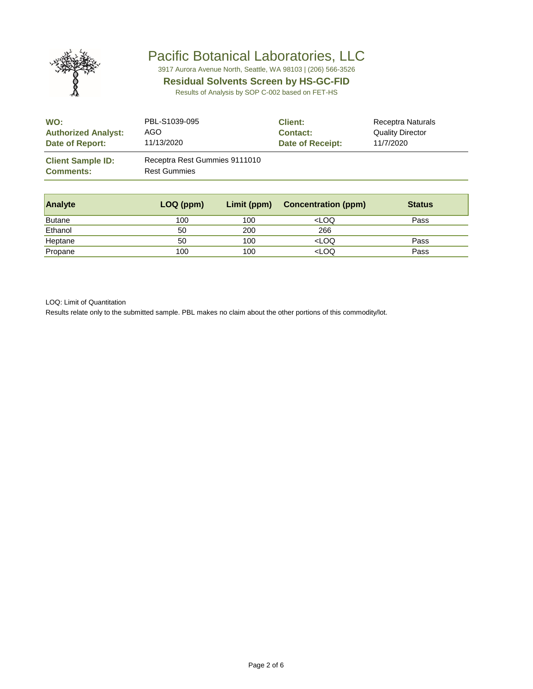

3917 Aurora Avenue North, Seattle, WA 98103 | (206) 566-3526

#### **Residual Solvents Screen by HS-GC-FID**

Results of Analysis by SOP C-002 based on FET-HS

| WO:                                          | PBL-S1039-095                                        | <b>Client:</b>   | Receptra Naturals       |
|----------------------------------------------|------------------------------------------------------|------------------|-------------------------|
| <b>Authorized Analyst:</b>                   | AGO                                                  | <b>Contact:</b>  | <b>Quality Director</b> |
| Date of Report:                              | 11/13/2020                                           | Date of Receipt: | 11/7/2020               |
| <b>Client Sample ID:</b><br><b>Comments:</b> | Receptra Rest Gummies 9111010<br><b>Rest Gummies</b> |                  |                         |

| <b>Analyte</b> | LOQ (ppm) | Limit (ppm) | <b>Concentration (ppm)</b>       | <b>Status</b> |
|----------------|-----------|-------------|----------------------------------|---------------|
| <b>Butane</b>  | 100       | 100         | <loq< td=""><td>Pass</td></loq<> | Pass          |
| Ethanol        | 50        | 200         | 266                              |               |
| Heptane        | 50        | 100         | <loq< td=""><td>Pass</td></loq<> | Pass          |
| Propane        | 100       | 100         | <loq< td=""><td>Pass</td></loq<> | Pass          |

LOQ: Limit of Quantitation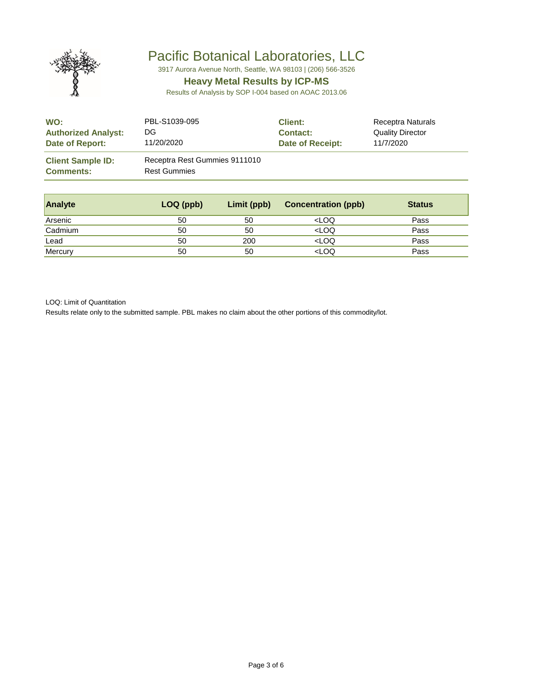

3917 Aurora Avenue North, Seattle, WA 98103 | (206) 566-3526

### **Heavy Metal Results by ICP-MS**

Results of Analysis by SOP I-004 based on AOAC 2013.06

| WO:                                          | PBL-S1039-095                                        | <b>Client:</b>   | Receptra Naturals       |
|----------------------------------------------|------------------------------------------------------|------------------|-------------------------|
| <b>Authorized Analyst:</b>                   | DG                                                   | <b>Contact:</b>  | <b>Quality Director</b> |
| Date of Report:                              | 11/20/2020                                           | Date of Receipt: | 11/7/2020               |
| <b>Client Sample ID:</b><br><b>Comments:</b> | Receptra Rest Gummies 9111010<br><b>Rest Gummies</b> |                  |                         |

| <b>Analyte</b> | LOQ (ppb) | Limit (ppb) | <b>Concentration (ppb)</b>       | <b>Status</b> |
|----------------|-----------|-------------|----------------------------------|---------------|
| Arsenic        | 50        | 50          | <loq< td=""><td>Pass</td></loq<> | Pass          |
| Cadmium        | 50        | 50          | <loq< td=""><td>Pass</td></loq<> | Pass          |
| Lead           | 50        | 200         | <loq< td=""><td>Pass</td></loq<> | Pass          |
| Mercury        | 50        | 50          | <loq< td=""><td>Pass</td></loq<> | Pass          |

LOQ: Limit of Quantitation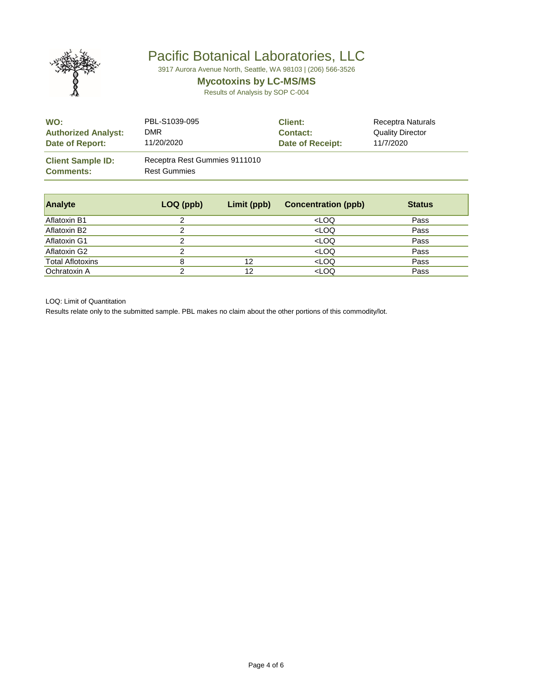

3917 Aurora Avenue North, Seattle, WA 98103 | (206) 566-3526

### **Mycotoxins by LC-MS/MS**

Results of Analysis by SOP C-004

| WO:                                          | PBL-S1039-095                                        | <b>Client:</b>   | Receptra Naturals       |
|----------------------------------------------|------------------------------------------------------|------------------|-------------------------|
| <b>Authorized Analyst:</b>                   | DMR                                                  | <b>Contact:</b>  | <b>Quality Director</b> |
| Date of Report:                              | 11/20/2020                                           | Date of Receipt: | 11/7/2020               |
| <b>Client Sample ID:</b><br><b>Comments:</b> | Receptra Rest Gummies 9111010<br><b>Rest Gummies</b> |                  |                         |

| <b>Analyte</b>          | LOQ (ppb) | Limit (ppb) | <b>Concentration (ppb)</b>       | <b>Status</b> |
|-------------------------|-----------|-------------|----------------------------------|---------------|
| Aflatoxin B1            | 2         |             | <loq< td=""><td>Pass</td></loq<> | Pass          |
| Aflatoxin B2            | ົ         |             | <loq< td=""><td>Pass</td></loq<> | Pass          |
| Aflatoxin G1            | っ         |             | <loq< td=""><td>Pass</td></loq<> | Pass          |
| Aflatoxin G2            | 2         |             | <loq< td=""><td>Pass</td></loq<> | Pass          |
| <b>Total Aflotoxins</b> | 8         | 12          | <loq< td=""><td>Pass</td></loq<> | Pass          |
| Ochratoxin A            | ⌒         | 12          | <loq< td=""><td>Pass</td></loq<> | Pass          |

LOQ: Limit of Quantitation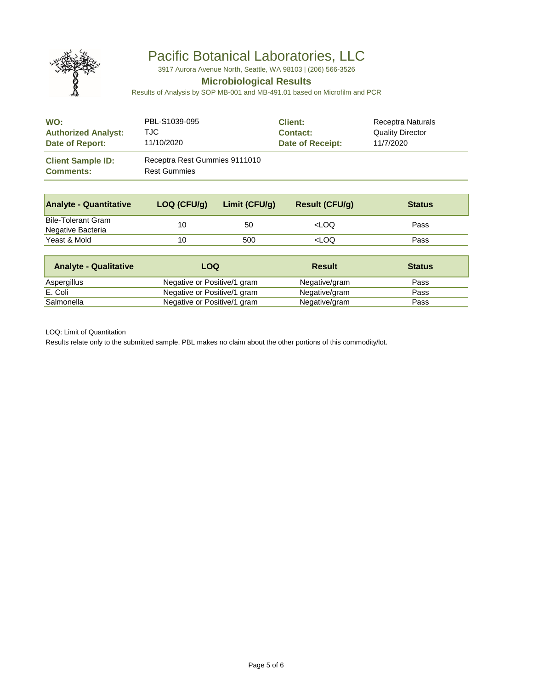

3917 Aurora Avenue North, Seattle, WA 98103 | (206) 566-3526

### **Microbiological Results**

Results of Analysis by SOP MB-001 and MB-491.01 based on Microfilm and PCR

| WO:                                          | PBL-S1039-095                                        | <b>Client:</b>   | Receptra Naturals       |
|----------------------------------------------|------------------------------------------------------|------------------|-------------------------|
| <b>Authorized Analyst:</b>                   | TJC.                                                 | <b>Contact:</b>  | <b>Quality Director</b> |
| Date of Report:                              | 11/10/2020                                           | Date of Receipt: | 11/7/2020               |
| <b>Client Sample ID:</b><br><b>Comments:</b> | Receptra Rest Gummies 9111010<br><b>Rest Gummies</b> |                  |                         |

| <b>Analyte - Quantitative</b>                  | LOQ (CFU/g) | Limit (CFU/g) | <b>Result (CFU/g)</b>            | <b>Status</b> |
|------------------------------------------------|-------------|---------------|----------------------------------|---------------|
| <b>Bile-Tolerant Gram</b><br>Negative Bacteria | 10          | 50            | <loq< td=""><td>Pass</td></loq<> | Pass          |
| Yeast & Mold                                   | 10          | 500           | <loq< td=""><td>Pass</td></loq<> | Pass          |

| <b>Analyte - Qualitative</b> | LOQ                         | <b>Result</b> | <b>Status</b> |
|------------------------------|-----------------------------|---------------|---------------|
| Aspergillus                  | Negative or Positive/1 gram | Negative/gram | Pass          |
| E. Coli                      | Negative or Positive/1 gram | Negative/gram | Pass          |
| Salmonella                   | Negative or Positive/1 gram | Negative/gram | Pass          |

LOQ: Limit of Quantitation